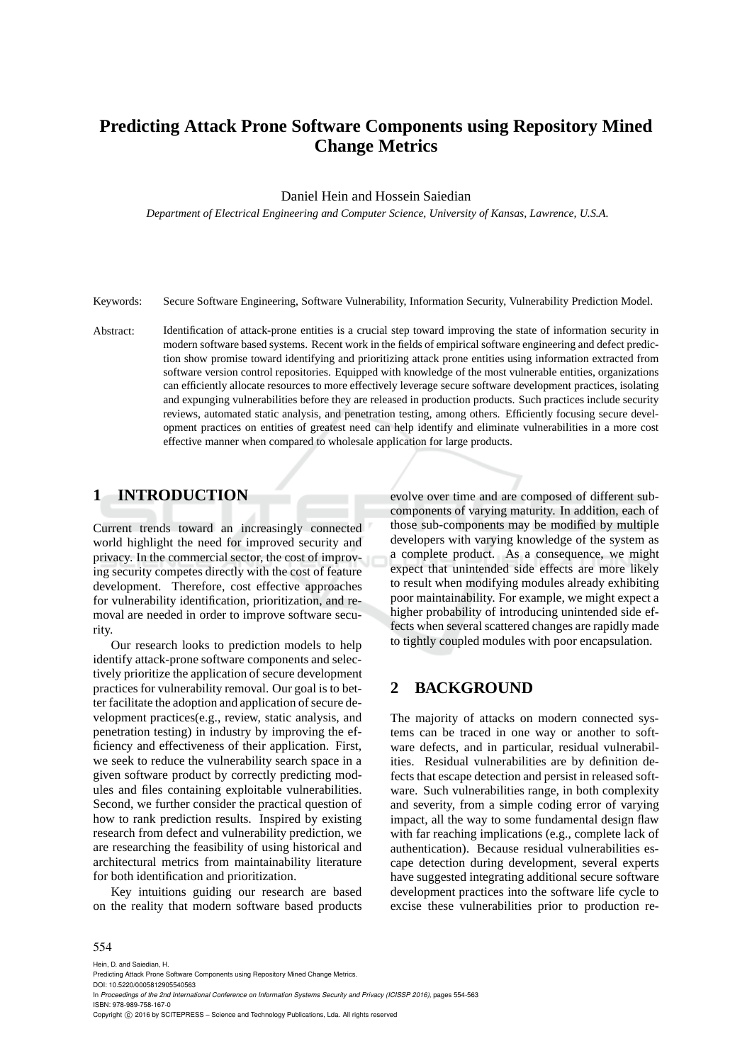# **Predicting Attack Prone Software Components using Repository Mined Change Metrics**

Daniel Hein and Hossein Saiedian

*Department of Electrical Engineering and Computer Science, University of Kansas, Lawrence, U.S.A.*

Keywords: Secure Software Engineering, Software Vulnerability, Information Security, Vulnerability Prediction Model.

Abstract: Identification of attack-prone entities is a crucial step toward improving the state of information security in modern software based systems. Recent work in the fields of empirical software engineering and defect prediction show promise toward identifying and prioritizing attack prone entities using information extracted from software version control repositories. Equipped with knowledge of the most vulnerable entities, organizations can efficiently allocate resources to more effectively leverage secure software development practices, isolating and expunging vulnerabilities before they are released in production products. Such practices include security reviews, automated static analysis, and penetration testing, among others. Efficiently focusing secure development practices on entities of greatest need can help identify and eliminate vulnerabilities in a more cost effective manner when compared to wholesale application for large products.

## **1 INTRODUCTION**

Current trends toward an increasingly connected world highlight the need for improved security and privacy. In the commercial sector, the cost of improving security competes directly with the cost of feature development. Therefore, cost effective approaches for vulnerability identification, prioritization, and removal are needed in order to improve software security.

Our research looks to prediction models to help identify attack-prone software components and selectively prioritize the application of secure development practices for vulnerability removal. Our goal is to better facilitate the adoption and application of secure development practices(e.g., review, static analysis, and penetration testing) in industry by improving the efficiency and effectiveness of their application. First, we seek to reduce the vulnerability search space in a given software product by correctly predicting modules and files containing exploitable vulnerabilities. Second, we further consider the practical question of how to rank prediction results. Inspired by existing research from defect and vulnerability prediction, we are researching the feasibility of using historical and architectural metrics from maintainability literature for both identification and prioritization.

Key intuitions guiding our research are based on the reality that modern software based products evolve over time and are composed of different subcomponents of varying maturity. In addition, each of those sub-components may be modified by multiple developers with varying knowledge of the system as a complete product. As a consequence, we might expect that unintended side effects are more likely to result when modifying modules already exhibiting poor maintainability. For example, we might expect a higher probability of introducing unintended side effects when several scattered changes are rapidly made to tightly coupled modules with poor encapsulation.

### **2 BACKGROUND**

The majority of attacks on modern connected systems can be traced in one way or another to software defects, and in particular, residual vulnerabilities. Residual vulnerabilities are by definition defects that escape detection and persist in released software. Such vulnerabilities range, in both complexity and severity, from a simple coding error of varying impact, all the way to some fundamental design flaw with far reaching implications (e.g., complete lack of authentication). Because residual vulnerabilities escape detection during development, several experts have suggested integrating additional secure software development practices into the software life cycle to excise these vulnerabilities prior to production re-

#### 554

Hein, D. and Saiedian, H.

DOI: 10.5220/0005812905540563

In *Proceedings of the 2nd International Conference on Information Systems Security and Privacy (ICISSP 2016)*, pages 554-563 ISBN: 978-989-758-167-0

Copyright (C) 2016 by SCITEPRESS - Science and Technology Publications, Lda. All rights reserved

Predicting Attack Prone Software Components using Repository Mined Change Metrics.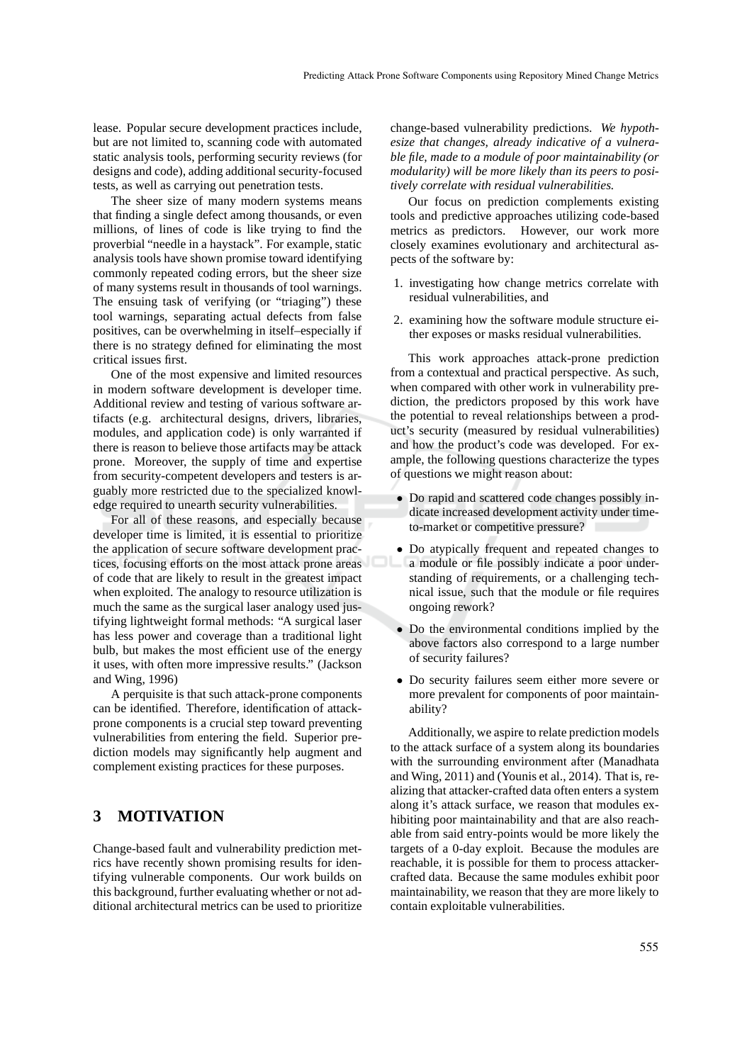lease. Popular secure development practices include, but are not limited to, scanning code with automated static analysis tools, performing security reviews (for designs and code), adding additional security-focused tests, as well as carrying out penetration tests.

The sheer size of many modern systems means that finding a single defect among thousands, or even millions, of lines of code is like trying to find the proverbial "needle in a haystack". For example, static analysis tools have shown promise toward identifying commonly repeated coding errors, but the sheer size of many systems result in thousands of tool warnings. The ensuing task of verifying (or "triaging") these tool warnings, separating actual defects from false positives, can be overwhelming in itself–especially if there is no strategy defined for eliminating the most critical issues first.

One of the most expensive and limited resources in modern software development is developer time. Additional review and testing of various software artifacts (e.g. architectural designs, drivers, libraries, modules, and application code) is only warranted if there is reason to believe those artifacts may be attack prone. Moreover, the supply of time and expertise from security-competent developers and testers is arguably more restricted due to the specialized knowledge required to unearth security vulnerabilities.

For all of these reasons, and especially because developer time is limited, it is essential to prioritize the application of secure software development practices, focusing efforts on the most attack prone areas of code that are likely to result in the greatest impact when exploited. The analogy to resource utilization is much the same as the surgical laser analogy used justifying lightweight formal methods: "A surgical laser has less power and coverage than a traditional light bulb, but makes the most efficient use of the energy it uses, with often more impressive results." (Jackson and Wing, 1996)

A perquisite is that such attack-prone components can be identified. Therefore, identification of attackprone components is a crucial step toward preventing vulnerabilities from entering the field. Superior prediction models may significantly help augment and complement existing practices for these purposes.

## **3 MOTIVATION**

Change-based fault and vulnerability prediction metrics have recently shown promising results for identifying vulnerable components. Our work builds on this background, further evaluating whether or not additional architectural metrics can be used to prioritize change-based vulnerability predictions. *We hypothesize that changes, already indicative of a vulnerable file, made to a module of poor maintainability (or modularity) will be more likely than its peers to positively correlate with residual vulnerabilities.*

Our focus on prediction complements existing tools and predictive approaches utilizing code-based metrics as predictors. However, our work more closely examines evolutionary and architectural aspects of the software by:

- 1. investigating how change metrics correlate with residual vulnerabilities, and
- 2. examining how the software module structure either exposes or masks residual vulnerabilities.

This work approaches attack-prone prediction from a contextual and practical perspective. As such, when compared with other work in vulnerability prediction, the predictors proposed by this work have the potential to reveal relationships between a product's security (measured by residual vulnerabilities) and how the product's code was developed. For example, the following questions characterize the types of questions we might reason about:

- Do rapid and scattered code changes possibly indicate increased development activity under timeto-market or competitive pressure?
- Do atypically frequent and repeated changes to a module or file possibly indicate a poor understanding of requirements, or a challenging technical issue, such that the module or file requires ongoing rework?
- Do the environmental conditions implied by the above factors also correspond to a large number of security failures?
- Do security failures seem either more severe or more prevalent for components of poor maintainability?

Additionally, we aspire to relate prediction models to the attack surface of a system along its boundaries with the surrounding environment after (Manadhata and Wing, 2011) and (Younis et al., 2014). That is, realizing that attacker-crafted data often enters a system along it's attack surface, we reason that modules exhibiting poor maintainability and that are also reachable from said entry-points would be more likely the targets of a 0-day exploit. Because the modules are reachable, it is possible for them to process attackercrafted data. Because the same modules exhibit poor maintainability, we reason that they are more likely to contain exploitable vulnerabilities.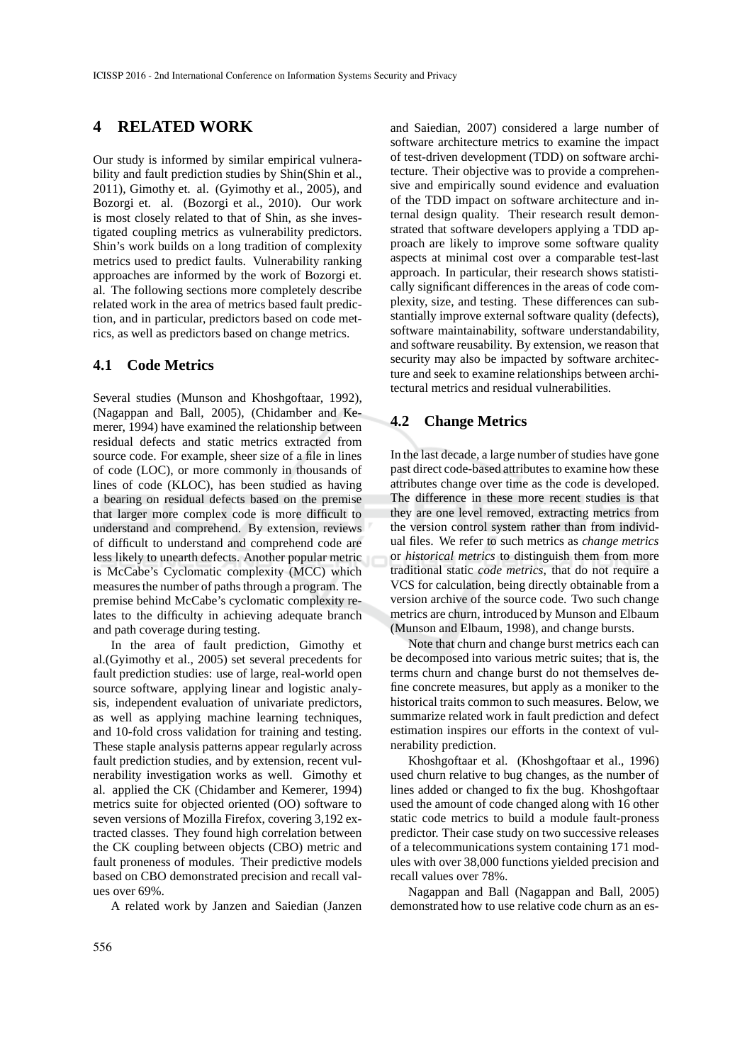### **4 RELATED WORK**

Our study is informed by similar empirical vulnerability and fault prediction studies by Shin(Shin et al., 2011), Gimothy et. al. (Gyimothy et al., 2005), and Bozorgi et. al. (Bozorgi et al., 2010). Our work is most closely related to that of Shin, as she investigated coupling metrics as vulnerability predictors. Shin's work builds on a long tradition of complexity metrics used to predict faults. Vulnerability ranking approaches are informed by the work of Bozorgi et. al. The following sections more completely describe related work in the area of metrics based fault prediction, and in particular, predictors based on code metrics, as well as predictors based on change metrics.

#### **4.1 Code Metrics**

Several studies (Munson and Khoshgoftaar, 1992), (Nagappan and Ball, 2005), (Chidamber and Kemerer, 1994) have examined the relationship between residual defects and static metrics extracted from source code. For example, sheer size of a file in lines of code (LOC), or more commonly in thousands of lines of code (KLOC), has been studied as having a bearing on residual defects based on the premise that larger more complex code is more difficult to understand and comprehend. By extension, reviews of difficult to understand and comprehend code are less likely to unearth defects. Another popular metric is McCabe's Cyclomatic complexity (MCC) which measures the number of paths through a program. The premise behind McCabe's cyclomatic complexity relates to the difficulty in achieving adequate branch and path coverage during testing.

In the area of fault prediction, Gimothy et al.(Gyimothy et al., 2005) set several precedents for fault prediction studies: use of large, real-world open source software, applying linear and logistic analysis, independent evaluation of univariate predictors, as well as applying machine learning techniques, and 10-fold cross validation for training and testing. These staple analysis patterns appear regularly across fault prediction studies, and by extension, recent vulnerability investigation works as well. Gimothy et al. applied the CK (Chidamber and Kemerer, 1994) metrics suite for objected oriented (OO) software to seven versions of Mozilla Firefox, covering 3,192 extracted classes. They found high correlation between the CK coupling between objects (CBO) metric and fault proneness of modules. Their predictive models based on CBO demonstrated precision and recall values over 69%.

A related work by Janzen and Saiedian (Janzen

and Saiedian, 2007) considered a large number of software architecture metrics to examine the impact of test-driven development (TDD) on software architecture. Their objective was to provide a comprehensive and empirically sound evidence and evaluation of the TDD impact on software architecture and internal design quality. Their research result demonstrated that software developers applying a TDD approach are likely to improve some software quality aspects at minimal cost over a comparable test-last approach. In particular, their research shows statistically significant differences in the areas of code complexity, size, and testing. These differences can substantially improve external software quality (defects), software maintainability, software understandability, and software reusability. By extension, we reason that security may also be impacted by software architecture and seek to examine relationships between architectural metrics and residual vulnerabilities.

#### **4.2 Change Metrics**

In the last decade, a large number of studies have gone past direct code-based attributes to examine how these attributes change over time as the code is developed. The difference in these more recent studies is that they are one level removed, extracting metrics from the version control system rather than from individual files. We refer to such metrics as *change metrics* or *historical metrics* to distinguish them from more traditional static *code metrics*, that do not require a VCS for calculation, being directly obtainable from a version archive of the source code. Two such change metrics are churn, introduced by Munson and Elbaum (Munson and Elbaum, 1998), and change bursts.

Note that churn and change burst metrics each can be decomposed into various metric suites; that is, the terms churn and change burst do not themselves define concrete measures, but apply as a moniker to the historical traits common to such measures. Below, we summarize related work in fault prediction and defect estimation inspires our efforts in the context of vulnerability prediction.

Khoshgoftaar et al. (Khoshgoftaar et al., 1996) used churn relative to bug changes, as the number of lines added or changed to fix the bug. Khoshgoftaar used the amount of code changed along with 16 other static code metrics to build a module fault-proness predictor. Their case study on two successive releases of a telecommunications system containing 171 modules with over 38,000 functions yielded precision and recall values over 78%.

Nagappan and Ball (Nagappan and Ball, 2005) demonstrated how to use relative code churn as an es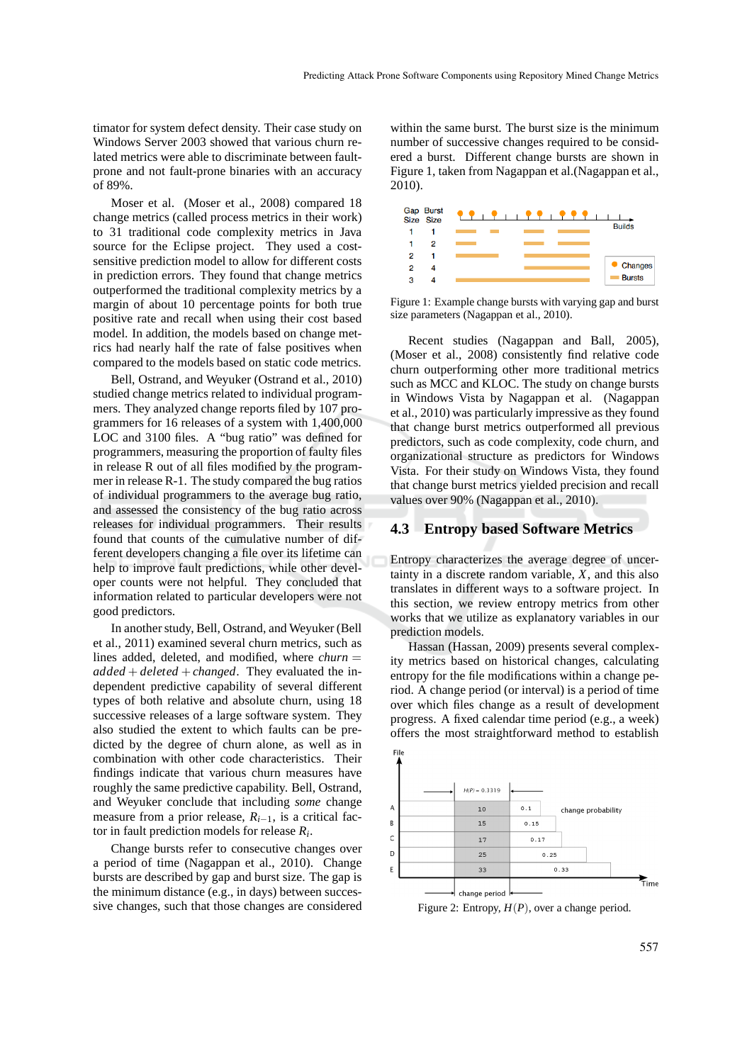timator for system defect density. Their case study on Windows Server 2003 showed that various churn related metrics were able to discriminate between faultprone and not fault-prone binaries with an accuracy of 89%.

Moser et al. (Moser et al., 2008) compared 18 change metrics (called process metrics in their work) to 31 traditional code complexity metrics in Java source for the Eclipse project. They used a costsensitive prediction model to allow for different costs in prediction errors. They found that change metrics outperformed the traditional complexity metrics by a margin of about 10 percentage points for both true positive rate and recall when using their cost based model. In addition, the models based on change metrics had nearly half the rate of false positives when compared to the models based on static code metrics.

Bell, Ostrand, and Weyuker (Ostrand et al., 2010) studied change metrics related to individual programmers. They analyzed change reports filed by 107 programmers for 16 releases of a system with 1,400,000 LOC and 3100 files. A "bug ratio" was defined for programmers, measuring the proportion of faulty files in release R out of all files modified by the programmer in release R-1. The study compared the bug ratios of individual programmers to the average bug ratio, and assessed the consistency of the bug ratio across releases for individual programmers. Their results found that counts of the cumulative number of different developers changing a file over its lifetime can help to improve fault predictions, while other developer counts were not helpful. They concluded that information related to particular developers were not good predictors.

In another study, Bell, Ostrand, and Weyuker (Bell et al., 2011) examined several churn metrics, such as lines added, deleted, and modified, where *churn* =  $added + deleted + changed.$  They evaluated the independent predictive capability of several different types of both relative and absolute churn, using 18 successive releases of a large software system. They also studied the extent to which faults can be predicted by the degree of churn alone, as well as in combination with other code characteristics. Their findings indicate that various churn measures have roughly the same predictive capability. Bell, Ostrand, and Weyuker conclude that including *some* change measure from a prior release,  $R_{i-1}$ , is a critical factor in fault prediction models for release *R<sup>i</sup>* .

Change bursts refer to consecutive changes over a period of time (Nagappan et al., 2010). Change bursts are described by gap and burst size. The gap is the minimum distance (e.g., in days) between successive changes, such that those changes are considered

within the same burst. The burst size is the minimum number of successive changes required to be considered a burst. Different change bursts are shown in Figure 1, taken from Nagappan et al.(Nagappan et al., 2010).



Figure 1: Example change bursts with varying gap and burst size parameters (Nagappan et al., 2010).

Recent studies (Nagappan and Ball, 2005), (Moser et al., 2008) consistently find relative code churn outperforming other more traditional metrics such as MCC and KLOC. The study on change bursts in Windows Vista by Nagappan et al. (Nagappan et al., 2010) was particularly impressive as they found that change burst metrics outperformed all previous predictors, such as code complexity, code churn, and organizational structure as predictors for Windows Vista. For their study on Windows Vista, they found that change burst metrics yielded precision and recall values over 90% (Nagappan et al., 2010).

#### **4.3 Entropy based Software Metrics**

Entropy characterizes the average degree of uncertainty in a discrete random variable, *X*, and this also translates in different ways to a software project. In this section, we review entropy metrics from other works that we utilize as explanatory variables in our prediction models.

Hassan (Hassan, 2009) presents several complexity metrics based on historical changes, calculating entropy for the file modifications within a change period. A change period (or interval) is a period of time over which files change as a result of development progress. A fixed calendar time period (e.g., a week) offers the most straightforward method to establish



Figure 2: Entropy, *H*(*P*), over a change period.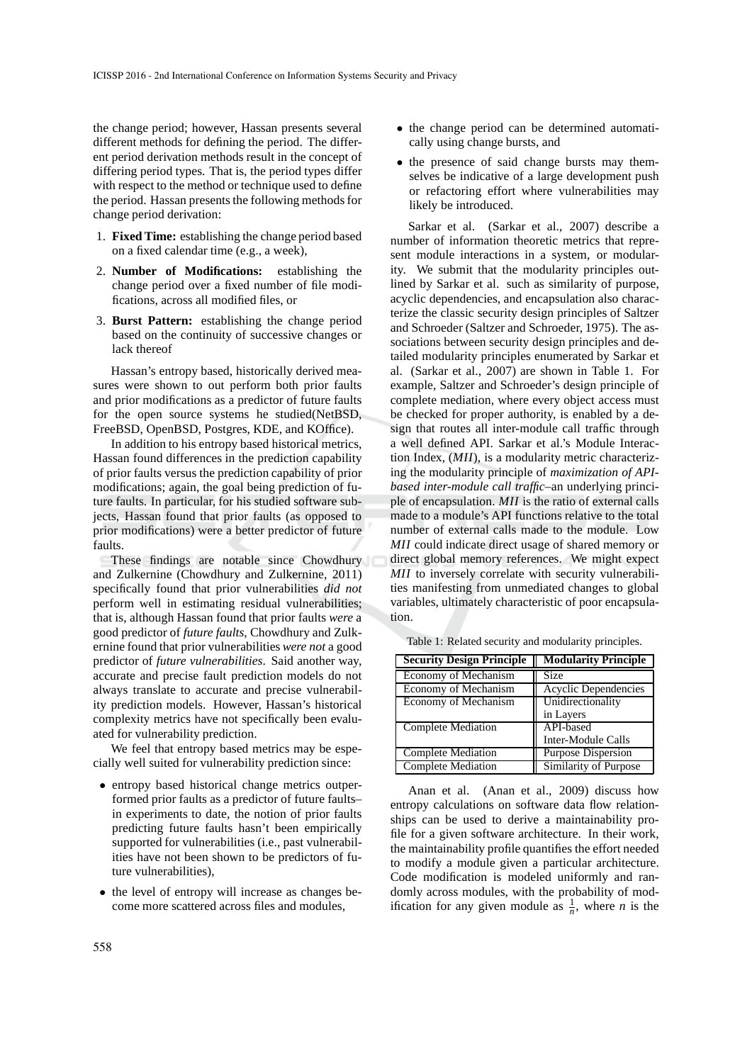the change period; however, Hassan presents several different methods for defining the period. The different period derivation methods result in the concept of differing period types. That is, the period types differ with respect to the method or technique used to define the period. Hassan presents the following methods for change period derivation:

- 1. **Fixed Time:** establishing the change period based on a fixed calendar time (e.g., a week),
- 2. **Number of Modifications:** establishing the change period over a fixed number of file modifications, across all modified files, or
- 3. **Burst Pattern:** establishing the change period based on the continuity of successive changes or lack thereof

Hassan's entropy based, historically derived measures were shown to out perform both prior faults and prior modifications as a predictor of future faults for the open source systems he studied(NetBSD, FreeBSD, OpenBSD, Postgres, KDE, and KOffice).

In addition to his entropy based historical metrics, Hassan found differences in the prediction capability of prior faults versus the prediction capability of prior modifications; again, the goal being prediction of future faults. In particular, for his studied software subjects, Hassan found that prior faults (as opposed to prior modifications) were a better predictor of future faults.

These findings are notable since Chowdhury and Zulkernine (Chowdhury and Zulkernine, 2011) specifically found that prior vulnerabilities *did not* perform well in estimating residual vulnerabilities; that is, although Hassan found that prior faults *were* a good predictor of *future faults*, Chowdhury and Zulkernine found that prior vulnerabilities *were not* a good predictor of *future vulnerabilities*. Said another way, accurate and precise fault prediction models do not always translate to accurate and precise vulnerability prediction models. However, Hassan's historical complexity metrics have not specifically been evaluated for vulnerability prediction.

We feel that entropy based metrics may be especially well suited for vulnerability prediction since:

- entropy based historical change metrics outperformed prior faults as a predictor of future faults– in experiments to date, the notion of prior faults predicting future faults hasn't been empirically supported for vulnerabilities (i.e., past vulnerabilities have not been shown to be predictors of future vulnerabilities),
- the level of entropy will increase as changes become more scattered across files and modules,
- the change period can be determined automatically using change bursts, and
- the presence of said change bursts may themselves be indicative of a large development push or refactoring effort where vulnerabilities may likely be introduced.

Sarkar et al. (Sarkar et al., 2007) describe a number of information theoretic metrics that represent module interactions in a system, or modularity. We submit that the modularity principles outlined by Sarkar et al. such as similarity of purpose, acyclic dependencies, and encapsulation also characterize the classic security design principles of Saltzer and Schroeder (Saltzer and Schroeder, 1975). The associations between security design principles and detailed modularity principles enumerated by Sarkar et al. (Sarkar et al., 2007) are shown in Table 1. For example, Saltzer and Schroeder's design principle of complete mediation, where every object access must be checked for proper authority, is enabled by a design that routes all inter-module call traffic through a well defined API. Sarkar et al.'s Module Interaction Index, (*MII*), is a modularity metric characterizing the modularity principle of *maximization of APIbased inter-module call traffic*–an underlying principle of encapsulation. *MII* is the ratio of external calls made to a module's API functions relative to the total number of external calls made to the module. Low *MII* could indicate direct usage of shared memory or direct global memory references. We might expect *MII* to inversely correlate with security vulnerabilities manifesting from unmediated changes to global variables, ultimately characteristic of poor encapsulation.

| <b>Security Design Principle</b> | <b>Modularity Principle</b> |
|----------------------------------|-----------------------------|
| <b>Economy of Mechanism</b>      | <b>Size</b>                 |
| Economy of Mechanism             | Acyclic Dependencies        |
| Economy of Mechanism             | Unidirectionality           |
|                                  | in Layers                   |
| <b>Complete Mediation</b>        | <b>API-based</b>            |
|                                  | Inter-Module Calls          |
| <b>Complete Mediation</b>        | <b>Purpose Dispersion</b>   |
| <b>Complete Mediation</b>        | Similarity of Purpose       |

Table 1: Related security and modularity principles.

Anan et al. (Anan et al., 2009) discuss how entropy calculations on software data flow relationships can be used to derive a maintainability profile for a given software architecture. In their work, the maintainability profile quantifies the effort needed to modify a module given a particular architecture. Code modification is modeled uniformly and randomly across modules, with the probability of modification for any given module as  $\frac{1}{n}$ , where *n* is the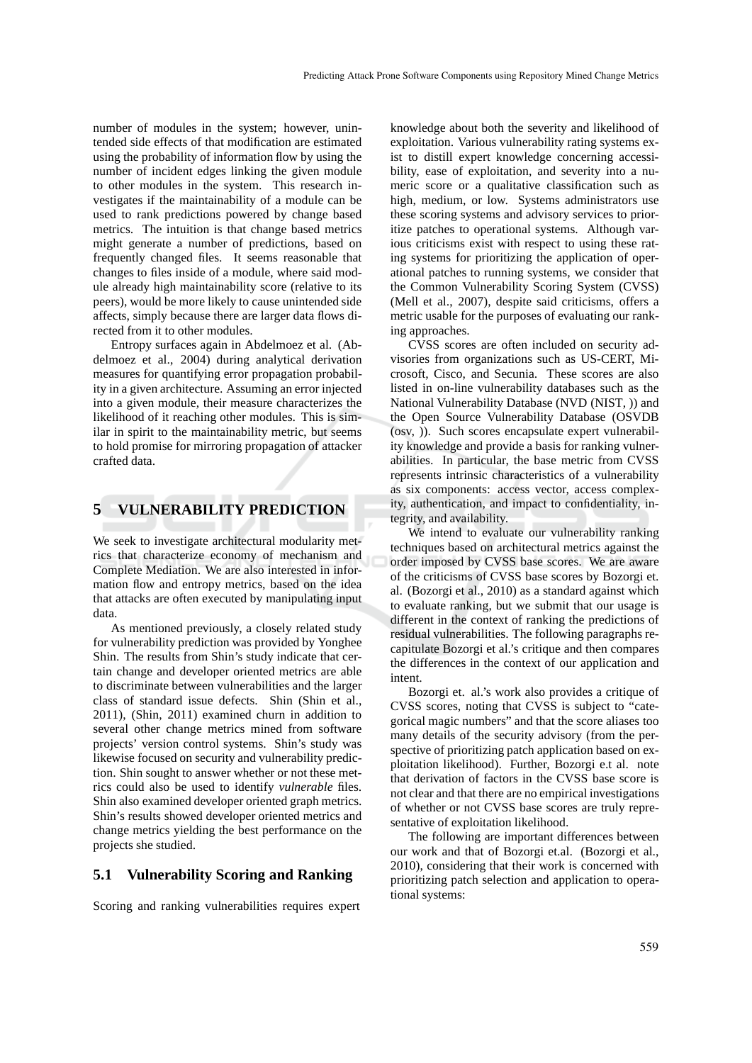number of modules in the system; however, unintended side effects of that modification are estimated using the probability of information flow by using the number of incident edges linking the given module to other modules in the system. This research investigates if the maintainability of a module can be used to rank predictions powered by change based metrics. The intuition is that change based metrics might generate a number of predictions, based on frequently changed files. It seems reasonable that changes to files inside of a module, where said module already high maintainability score (relative to its peers), would be more likely to cause unintended side affects, simply because there are larger data flows directed from it to other modules.

Entropy surfaces again in Abdelmoez et al. (Abdelmoez et al., 2004) during analytical derivation measures for quantifying error propagation probability in a given architecture. Assuming an error injected into a given module, their measure characterizes the likelihood of it reaching other modules. This is similar in spirit to the maintainability metric, but seems to hold promise for mirroring propagation of attacker crafted data.

#### **5 VULNERABILITY PREDICTION**

We seek to investigate architectural modularity metrics that characterize economy of mechanism and Complete Mediation. We are also interested in information flow and entropy metrics, based on the idea that attacks are often executed by manipulating input data.

As mentioned previously, a closely related study for vulnerability prediction was provided by Yonghee Shin. The results from Shin's study indicate that certain change and developer oriented metrics are able to discriminate between vulnerabilities and the larger class of standard issue defects. Shin (Shin et al., 2011), (Shin, 2011) examined churn in addition to several other change metrics mined from software projects' version control systems. Shin's study was likewise focused on security and vulnerability prediction. Shin sought to answer whether or not these metrics could also be used to identify *vulnerable* files. Shin also examined developer oriented graph metrics. Shin's results showed developer oriented metrics and change metrics yielding the best performance on the projects she studied.

### **5.1 Vulnerability Scoring and Ranking**

Scoring and ranking vulnerabilities requires expert

knowledge about both the severity and likelihood of exploitation. Various vulnerability rating systems exist to distill expert knowledge concerning accessibility, ease of exploitation, and severity into a numeric score or a qualitative classification such as high, medium, or low. Systems administrators use these scoring systems and advisory services to prioritize patches to operational systems. Although various criticisms exist with respect to using these rating systems for prioritizing the application of operational patches to running systems, we consider that the Common Vulnerability Scoring System (CVSS) (Mell et al., 2007), despite said criticisms, offers a metric usable for the purposes of evaluating our ranking approaches.

CVSS scores are often included on security advisories from organizations such as US-CERT, Microsoft, Cisco, and Secunia. These scores are also listed in on-line vulnerability databases such as the National Vulnerability Database (NVD (NIST, )) and the Open Source Vulnerability Database (OSVDB (osv, )). Such scores encapsulate expert vulnerability knowledge and provide a basis for ranking vulnerabilities. In particular, the base metric from CVSS represents intrinsic characteristics of a vulnerability as six components: access vector, access complexity, authentication, and impact to confidentiality, integrity, and availability.

We intend to evaluate our vulnerability ranking techniques based on architectural metrics against the order imposed by CVSS base scores. We are aware of the criticisms of CVSS base scores by Bozorgi et. al. (Bozorgi et al., 2010) as a standard against which to evaluate ranking, but we submit that our usage is different in the context of ranking the predictions of residual vulnerabilities. The following paragraphs recapitulate Bozorgi et al.'s critique and then compares the differences in the context of our application and intent.

Bozorgi et. al.'s work also provides a critique of CVSS scores, noting that CVSS is subject to "categorical magic numbers" and that the score aliases too many details of the security advisory (from the perspective of prioritizing patch application based on exploitation likelihood). Further, Bozorgi e.t al. note that derivation of factors in the CVSS base score is not clear and that there are no empirical investigations of whether or not CVSS base scores are truly representative of exploitation likelihood.

The following are important differences between our work and that of Bozorgi et.al. (Bozorgi et al., 2010), considering that their work is concerned with prioritizing patch selection and application to operational systems: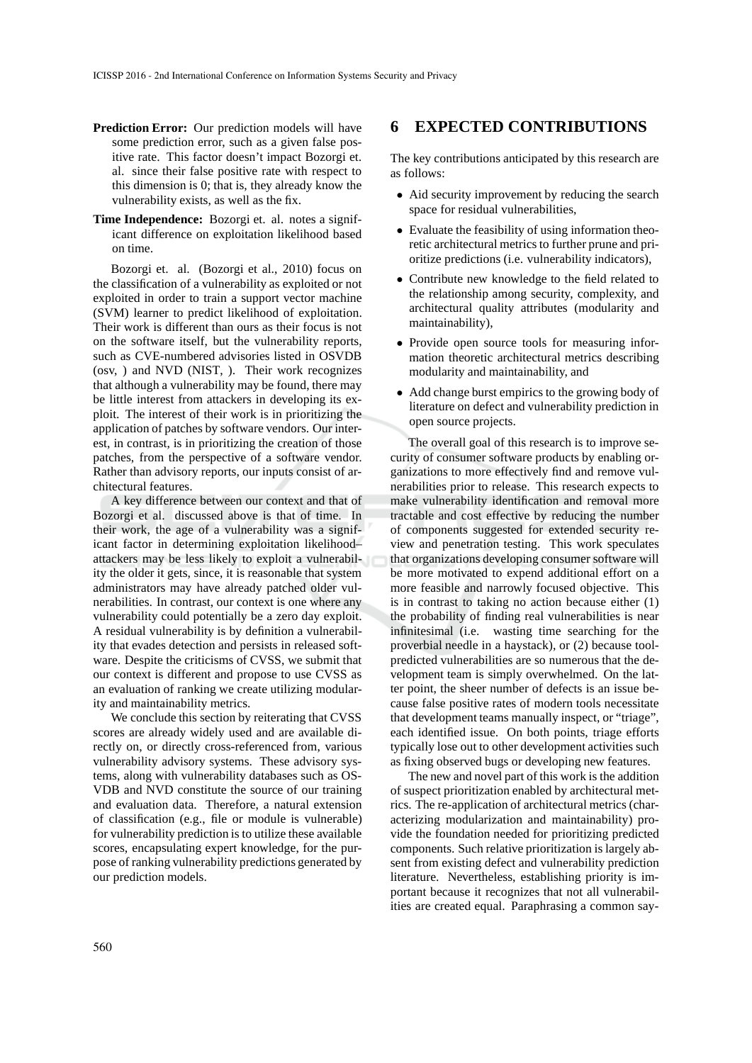- **Prediction Error:** Our prediction models will have some prediction error, such as a given false positive rate. This factor doesn't impact Bozorgi et. al. since their false positive rate with respect to this dimension is 0; that is, they already know the vulnerability exists, as well as the fix.
- **Time Independence:** Bozorgi et. al. notes a significant difference on exploitation likelihood based on time.

Bozorgi et. al. (Bozorgi et al., 2010) focus on the classification of a vulnerability as exploited or not exploited in order to train a support vector machine (SVM) learner to predict likelihood of exploitation. Their work is different than ours as their focus is not on the software itself, but the vulnerability reports, such as CVE-numbered advisories listed in OSVDB (osv, ) and NVD (NIST, ). Their work recognizes that although a vulnerability may be found, there may be little interest from attackers in developing its exploit. The interest of their work is in prioritizing the application of patches by software vendors. Our interest, in contrast, is in prioritizing the creation of those patches, from the perspective of a software vendor. Rather than advisory reports, our inputs consist of architectural features.

A key difference between our context and that of Bozorgi et al. discussed above is that of time. In their work, the age of a vulnerability was a significant factor in determining exploitation likelihood– attackers may be less likely to exploit a vulnerability the older it gets, since, it is reasonable that system administrators may have already patched older vulnerabilities. In contrast, our context is one where any vulnerability could potentially be a zero day exploit. A residual vulnerability is by definition a vulnerability that evades detection and persists in released software. Despite the criticisms of CVSS, we submit that our context is different and propose to use CVSS as an evaluation of ranking we create utilizing modularity and maintainability metrics.

We conclude this section by reiterating that CVSS scores are already widely used and are available directly on, or directly cross-referenced from, various vulnerability advisory systems. These advisory systems, along with vulnerability databases such as OS-VDB and NVD constitute the source of our training and evaluation data. Therefore, a natural extension of classification (e.g., file or module is vulnerable) for vulnerability prediction is to utilize these available scores, encapsulating expert knowledge, for the purpose of ranking vulnerability predictions generated by our prediction models.

#### **6 EXPECTED CONTRIBUTIONS**

The key contributions anticipated by this research are as follows:

- Aid security improvement by reducing the search space for residual vulnerabilities,
- Evaluate the feasibility of using information theoretic architectural metrics to further prune and prioritize predictions (i.e. vulnerability indicators),
- Contribute new knowledge to the field related to the relationship among security, complexity, and architectural quality attributes (modularity and maintainability),
- Provide open source tools for measuring information theoretic architectural metrics describing modularity and maintainability, and
- Add change burst empirics to the growing body of literature on defect and vulnerability prediction in open source projects.

The overall goal of this research is to improve security of consumer software products by enabling organizations to more effectively find and remove vulnerabilities prior to release. This research expects to make vulnerability identification and removal more tractable and cost effective by reducing the number of components suggested for extended security review and penetration testing. This work speculates that organizations developing consumer software will be more motivated to expend additional effort on a more feasible and narrowly focused objective. This is in contrast to taking no action because either (1) the probability of finding real vulnerabilities is near infinitesimal (i.e. wasting time searching for the proverbial needle in a haystack), or (2) because toolpredicted vulnerabilities are so numerous that the development team is simply overwhelmed. On the latter point, the sheer number of defects is an issue because false positive rates of modern tools necessitate that development teams manually inspect, or "triage", each identified issue. On both points, triage efforts typically lose out to other development activities such as fixing observed bugs or developing new features.

The new and novel part of this work is the addition of suspect prioritization enabled by architectural metrics. The re-application of architectural metrics (characterizing modularization and maintainability) provide the foundation needed for prioritizing predicted components. Such relative prioritization is largely absent from existing defect and vulnerability prediction literature. Nevertheless, establishing priority is important because it recognizes that not all vulnerabilities are created equal. Paraphrasing a common say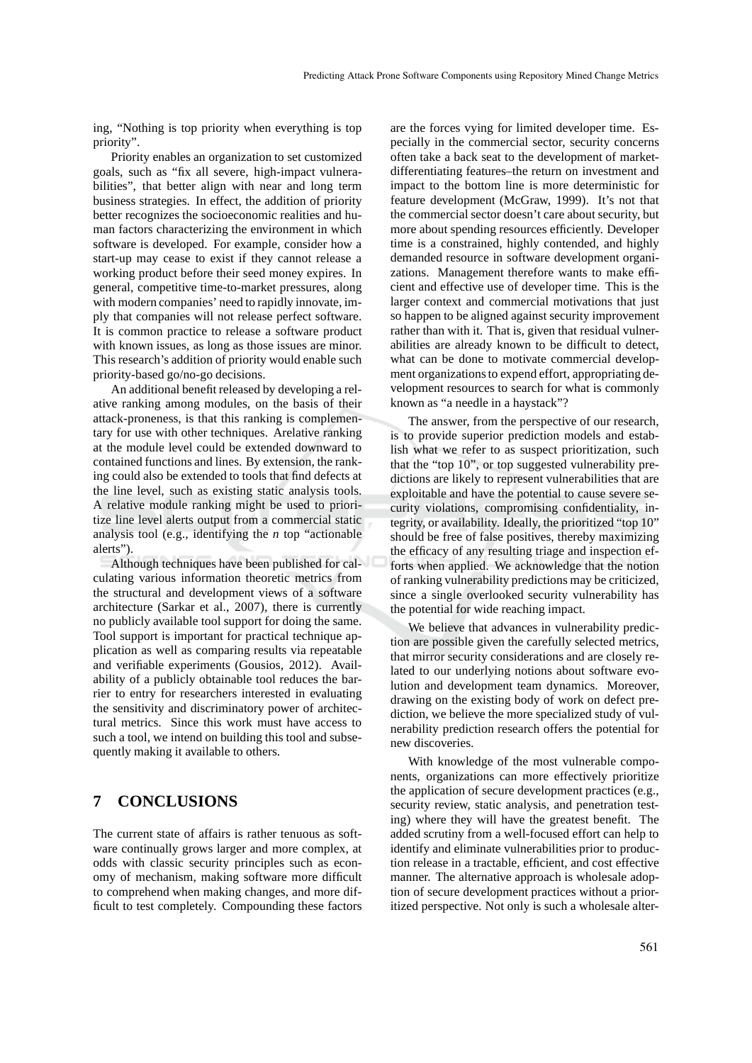ing, "Nothing is top priority when everything is top priority".

Priority enables an organization to set customized goals, such as "fix all severe, high-impact vulnerabilities", that better align with near and long term business strategies. In effect, the addition of priority better recognizes the socioeconomic realities and human factors characterizing the environment in which software is developed. For example, consider how a start-up may cease to exist if they cannot release a working product before their seed money expires. In general, competitive time-to-market pressures, along with modern companies' need to rapidly innovate, imply that companies will not release perfect software. It is common practice to release a software product with known issues, as long as those issues are minor. This research's addition of priority would enable such priority-based go/no-go decisions.

An additional benefit released by developing a relative ranking among modules, on the basis of their attack-proneness, is that this ranking is complementary for use with other techniques. Arelative ranking at the module level could be extended downward to contained functions and lines. By extension, the ranking could also be extended to tools that find defects at the line level, such as existing static analysis tools. A relative module ranking might be used to prioritize line level alerts output from a commercial static analysis tool (e.g., identifying the *n* top "actionable alerts").

Although techniques have been published for calculating various information theoretic metrics from the structural and development views of a software architecture (Sarkar et al., 2007), there is currently no publicly available tool support for doing the same. Tool support is important for practical technique application as well as comparing results via repeatable and verifiable experiments (Gousios, 2012). Availability of a publicly obtainable tool reduces the barrier to entry for researchers interested in evaluating the sensitivity and discriminatory power of architectural metrics. Since this work must have access to such a tool, we intend on building this tool and subsequently making it available to others.

### **7 CONCLUSIONS**

The current state of affairs is rather tenuous as software continually grows larger and more complex, at odds with classic security principles such as economy of mechanism, making software more difficult to comprehend when making changes, and more difficult to test completely. Compounding these factors

are the forces vying for limited developer time. Especially in the commercial sector, security concerns often take a back seat to the development of marketdifferentiating features–the return on investment and impact to the bottom line is more deterministic for feature development (McGraw, 1999). It's not that the commercial sector doesn't care about security, but more about spending resources efficiently. Developer time is a constrained, highly contended, and highly demanded resource in software development organizations. Management therefore wants to make efficient and effective use of developer time. This is the larger context and commercial motivations that just so happen to be aligned against security improvement rather than with it. That is, given that residual vulnerabilities are already known to be difficult to detect, what can be done to motivate commercial development organizations to expend effort, appropriating development resources to search for what is commonly known as "a needle in a haystack"?

The answer, from the perspective of our research, is to provide superior prediction models and establish what we refer to as suspect prioritization, such that the "top 10", or top suggested vulnerability predictions are likely to represent vulnerabilities that are exploitable and have the potential to cause severe security violations, compromising confidentiality, integrity, or availability. Ideally, the prioritized "top 10" should be free of false positives, thereby maximizing the efficacy of any resulting triage and inspection efforts when applied. We acknowledge that the notion of ranking vulnerability predictions may be criticized, since a single overlooked security vulnerability has the potential for wide reaching impact.

We believe that advances in vulnerability prediction are possible given the carefully selected metrics, that mirror security considerations and are closely related to our underlying notions about software evolution and development team dynamics. Moreover, drawing on the existing body of work on defect prediction, we believe the more specialized study of vulnerability prediction research offers the potential for new discoveries.

With knowledge of the most vulnerable components, organizations can more effectively prioritize the application of secure development practices (e.g., security review, static analysis, and penetration testing) where they will have the greatest benefit. The added scrutiny from a well-focused effort can help to identify and eliminate vulnerabilities prior to production release in a tractable, efficient, and cost effective manner. The alternative approach is wholesale adoption of secure development practices without a prioritized perspective. Not only is such a wholesale alter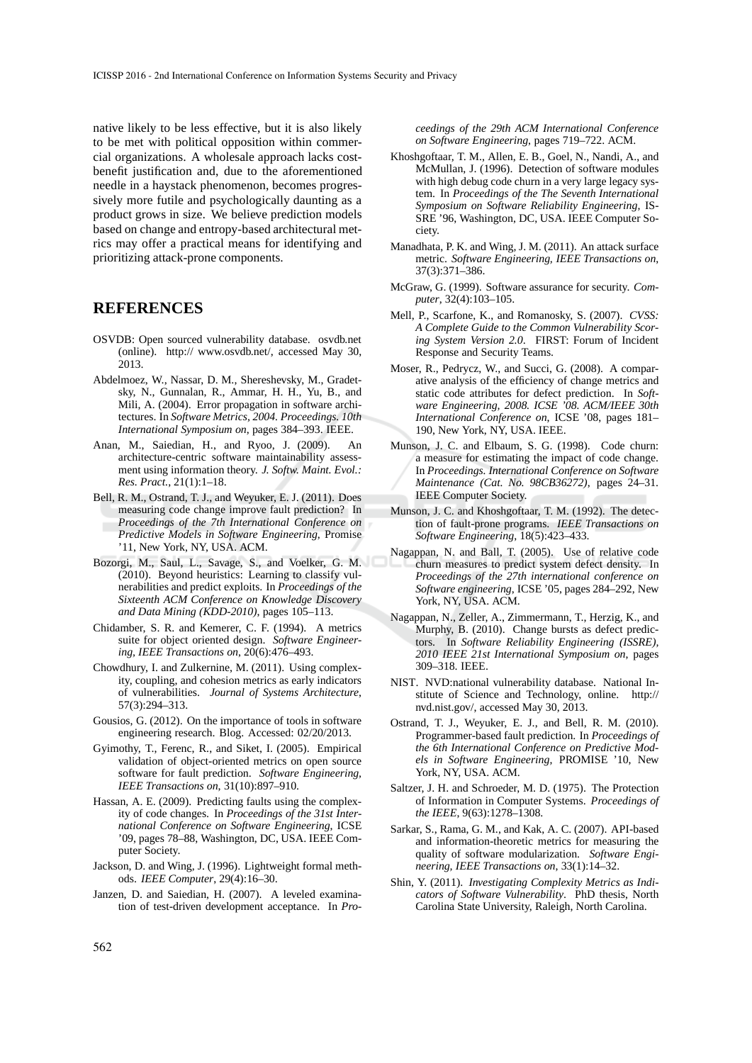native likely to be less effective, but it is also likely to be met with political opposition within commercial organizations. A wholesale approach lacks costbenefit justification and, due to the aforementioned needle in a haystack phenomenon, becomes progressively more futile and psychologically daunting as a product grows in size. We believe prediction models based on change and entropy-based architectural metrics may offer a practical means for identifying and prioritizing attack-prone components.

#### **REFERENCES**

- OSVDB: Open sourced vulnerability database. osvdb.net (online). http:// www.osvdb.net/, accessed May 30, 2013.
- Abdelmoez, W., Nassar, D. M., Shereshevsky, M., Gradetsky, N., Gunnalan, R., Ammar, H. H., Yu, B., and Mili, A. (2004). Error propagation in software architectures. In *Software Metrics, 2004. Proceedings. 10th International Symposium on*, pages 384–393. IEEE.
- Anan, M., Saiedian, H., and Ryoo, J. (2009). An architecture-centric software maintainability assessment using information theory. *J. Softw. Maint. Evol.: Res. Pract.*, 21(1):1–18.
- Bell, R. M., Ostrand, T. J., and Weyuker, E. J. (2011). Does measuring code change improve fault prediction? In *Proceedings of the 7th International Conference on Predictive Models in Software Engineering*, Promise '11, New York, NY, USA. ACM.
- Bozorgi, M., Saul, L., Savage, S., and Voelker, G. M. (2010). Beyond heuristics: Learning to classify vulnerabilities and predict exploits. In *Proceedings of the Sixteenth ACM Conference on Knowledge Discovery and Data Mining (KDD-2010)*, pages 105–113.
- Chidamber, S. R. and Kemerer, C. F. (1994). A metrics suite for object oriented design. *Software Engineering, IEEE Transactions on*, 20(6):476–493.
- Chowdhury, I. and Zulkernine, M. (2011). Using complexity, coupling, and cohesion metrics as early indicators of vulnerabilities. *Journal of Systems Architecture*, 57(3):294–313.
- Gousios, G. (2012). On the importance of tools in software engineering research. Blog. Accessed: 02/20/2013.
- Gyimothy, T., Ferenc, R., and Siket, I. (2005). Empirical validation of object-oriented metrics on open source software for fault prediction. *Software Engineering, IEEE Transactions on*, 31(10):897–910.
- Hassan, A. E. (2009). Predicting faults using the complexity of code changes. In *Proceedings of the 31st International Conference on Software Engineering*, ICSE '09, pages 78–88, Washington, DC, USA. IEEE Computer Society.
- Jackson, D. and Wing, J. (1996). Lightweight formal methods. *IEEE Computer*, 29(4):16–30.
- Janzen, D. and Saiedian, H. (2007). A leveled examination of test-driven development acceptance. In *Pro-*

*ceedings of the 29th ACM International Conference on Software Engineering*, pages 719–722. ACM.

- Khoshgoftaar, T. M., Allen, E. B., Goel, N., Nandi, A., and McMullan, J. (1996). Detection of software modules with high debug code churn in a very large legacy system. In *Proceedings of the The Seventh International Symposium on Software Reliability Engineering*, IS-SRE '96, Washington, DC, USA. IEEE Computer Society.
- Manadhata, P. K. and Wing, J. M. (2011). An attack surface metric. *Software Engineering, IEEE Transactions on*, 37(3):371–386.
- McGraw, G. (1999). Software assurance for security. *Computer*, 32(4):103–105.
- Mell, P., Scarfone, K., and Romanosky, S. (2007). *CVSS: A Complete Guide to the Common Vulnerability Scoring System Version 2.0*. FIRST: Forum of Incident Response and Security Teams.
- Moser, R., Pedrycz, W., and Succi, G. (2008). A comparative analysis of the efficiency of change metrics and static code attributes for defect prediction. In *Software Engineering, 2008. ICSE '08. ACM/IEEE 30th International Conference on*, ICSE '08, pages 181– 190, New York, NY, USA. IEEE.
- Munson, J. C. and Elbaum, S. G. (1998). Code churn: a measure for estimating the impact of code change. In *Proceedings. International Conference on Software Maintenance (Cat. No. 98CB36272)*, pages 24–31. IEEE Computer Society.
- Munson, J. C. and Khoshgoftaar, T. M. (1992). The detection of fault-prone programs. *IEEE Transactions on Software Engineering*, 18(5):423–433.
- Nagappan, N. and Ball, T. (2005). Use of relative code churn measures to predict system defect density. In *Proceedings of the 27th international conference on Software engineering*, ICSE '05, pages 284–292, New York, NY, USA. ACM.
- Nagappan, N., Zeller, A., Zimmermann, T., Herzig, K., and Murphy, B. (2010). Change bursts as defect predictors. In *Software Reliability Engineering (ISSRE), 2010 IEEE 21st International Symposium on*, pages 309–318. IEEE.
- NIST. NVD:national vulnerability database. National Institute of Science and Technology, online. http:// nvd.nist.gov/, accessed May 30, 2013.
- Ostrand, T. J., Weyuker, E. J., and Bell, R. M. (2010). Programmer-based fault prediction. In *Proceedings of the 6th International Conference on Predictive Models in Software Engineering*, PROMISE '10, New York, NY, USA. ACM.
- Saltzer, J. H. and Schroeder, M. D. (1975). The Protection of Information in Computer Systems. *Proceedings of the IEEE*, 9(63):1278–1308.
- Sarkar, S., Rama, G. M., and Kak, A. C. (2007). API-based and information-theoretic metrics for measuring the quality of software modularization. *Software Engineering, IEEE Transactions on*, 33(1):14–32.
- Shin, Y. (2011). *Investigating Complexity Metrics as Indicators of Software Vulnerability*. PhD thesis, North Carolina State University, Raleigh, North Carolina.